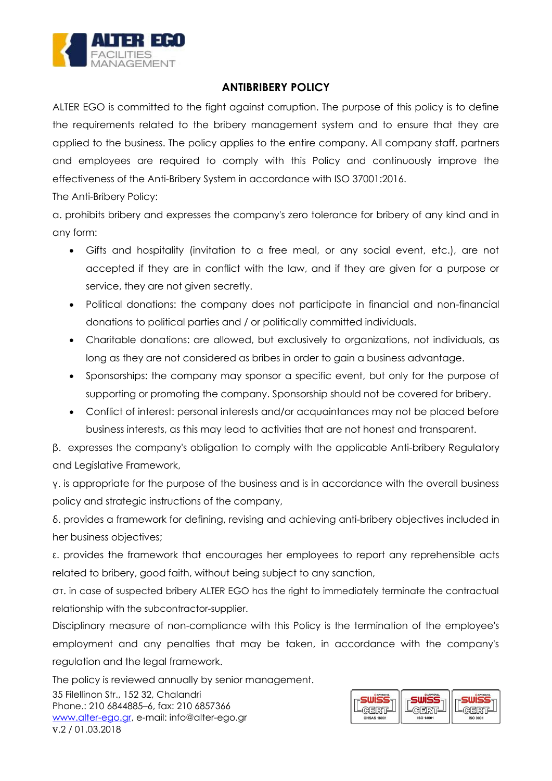

## **ANTIBRIBERY POLICY**

ALTER EGO is committed to the fight against corruption. The purpose of this policy is to define the requirements related to the bribery management system and to ensure that they are applied to the business. The policy applies to the entire company. All company staff, partners and employees are required to comply with this Policy and continuously improve the effectiveness of the Anti-Bribery System in accordance with ISO 37001:2016.

The Anti-Bribery Policy:

α. prohibits bribery and expresses the company's zero tolerance for bribery of any kind and in any form:

- Gifts and hospitality (invitation to a free meal, or any social event, etc.), are not accepted if they are in conflict with the law, and if they are given for a purpose or service, they are not given secretly.
- Political donations: the company does not participate in financial and non-financial donations to political parties and / or politically committed individuals.
- Charitable donations: are allowed, but exclusively to organizations, not individuals, as long as they are not considered as bribes in order to gain a business advantage.
- Sponsorships: the company may sponsor a specific event, but only for the purpose of supporting or promoting the company. Sponsorship should not be covered for bribery.
- Conflict of interest: personal interests and/or acquaintances may not be placed before business interests, as this may lead to activities that are not honest and transparent.

β. expresses the company's obligation to comply with the applicable Anti-bribery Regulatory and Legislative Framework,

γ. is appropriate for the purpose of the business and is in accordance with the overall business policy and strategic instructions of the company,

δ. provides a framework for defining, revising and achieving anti-bribery objectives included in her business objectives;

ε. provides the framework that encourages her employees to report any reprehensible acts related to bribery, good faith, without being subject to any sanction,

στ. in case of suspected bribery ALTER EGO has the right to immediately terminate the contractual relationship with the subcontractor-supplier.

Disciplinary measure of non-compliance with this Policy is the termination of the employee's employment and any penalties that may be taken, in accordance with the company's regulation and the legal framework.

The policy is reviewed annually by senior management.

35 Filellinon Str., 152 32, Chalandri Phone.: 210 6844885–6, fax: 210 6857366 [www.alter-ego.gr,](http://www.alter-ego.gr/) e-mail: [info@alter-ego.gr](mailto:info@alter-ego.gr) v.2 / 01.03.2018